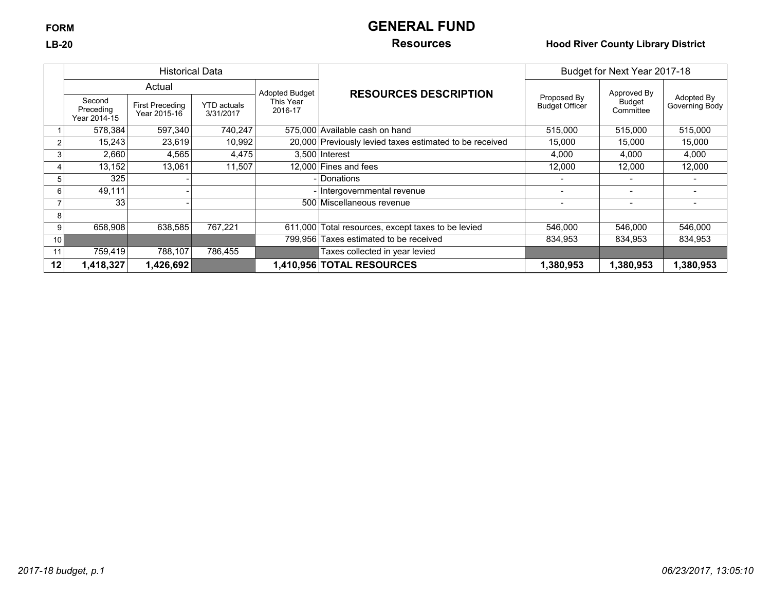# **FORM GENERAL FUND**

## **LB-20 Resources Hood River County Library District**

|                 | <b>Historical Data</b>              |                                        |                                 |                       |                                                         | Budget for Next Year 2017-18         |                     |                              |
|-----------------|-------------------------------------|----------------------------------------|---------------------------------|-----------------------|---------------------------------------------------------|--------------------------------------|---------------------|------------------------------|
|                 |                                     | Actual                                 |                                 | <b>Adopted Budget</b> | <b>RESOURCES DESCRIPTION</b>                            |                                      | Approved By         |                              |
|                 | Second<br>Preceding<br>Year 2014-15 | <b>First Preceding</b><br>Year 2015-16 | <b>YTD</b> actuals<br>3/31/2017 | This Year<br>2016-17  |                                                         | Proposed By<br><b>Budget Officer</b> | Budget<br>Committee | Adopted By<br>Governing Body |
|                 | 578,384                             | 597,340                                | 740,247                         |                       | 575,000 Available cash on hand                          | 515,000                              | 515,000             | 515,000                      |
|                 | 15,243                              | 23,619                                 | 10,992                          |                       | 20,000 Previously levied taxes estimated to be received | 15,000                               | 15,000              | 15,000                       |
|                 | 2,660                               | 4,565                                  | 4,475                           |                       | $3.500$ Interest                                        | 4,000                                | 4,000               | 4.000                        |
|                 | 13,152                              | 13,061                                 | 11,507                          |                       | 12,000 Fines and fees                                   | 12,000                               | 12,000              | 12,000                       |
|                 | 325                                 |                                        |                                 |                       | <i><b>Donations</b></i>                                 |                                      |                     |                              |
|                 | 49,111                              |                                        |                                 |                       | Intergovernmental revenue                               |                                      |                     |                              |
|                 | 33                                  |                                        |                                 |                       | 500 Miscellaneous revenue                               | $\,$                                 | $\,$                |                              |
|                 |                                     |                                        |                                 |                       |                                                         |                                      |                     |                              |
|                 | 658,908                             | 638,585                                | 767,221                         |                       | 611,000 Total resources, except taxes to be levied      | 546,000                              | 546,000             | 546,000                      |
| 10 <sup>1</sup> |                                     |                                        |                                 |                       | 799,956 Taxes estimated to be received                  | 834,953                              | 834,953             | 834,953                      |
|                 | 759,419                             | 788,107                                | 786,455                         |                       | Taxes collected in year levied                          |                                      |                     |                              |
| 12              | 1,418,327                           | 1,426,692                              |                                 |                       | 1,410,956 TOTAL RESOURCES                               | 1,380,953                            | 1,380,953           | 1,380,953                    |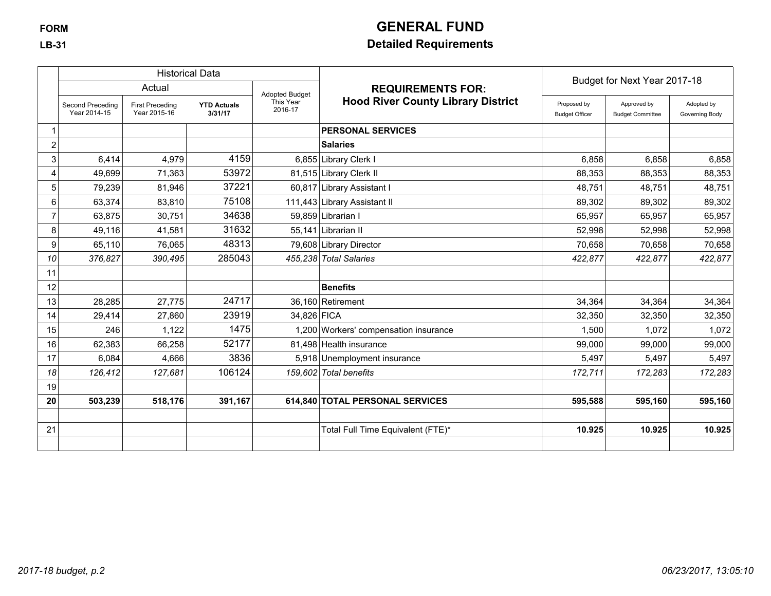# **FORM GENERAL FUND**

## **LB-31 Detailed Requirements**

|    |                                  |                                        | <b>Historical Data</b>        |                       |                                           | Budget for Next Year 2017-18         |                                        |                              |
|----|----------------------------------|----------------------------------------|-------------------------------|-----------------------|-------------------------------------------|--------------------------------------|----------------------------------------|------------------------------|
|    |                                  | Actual                                 |                               | <b>Adopted Budget</b> | <b>REQUIREMENTS FOR:</b>                  |                                      |                                        |                              |
|    | Second Preceding<br>Year 2014-15 | <b>First Preceding</b><br>Year 2015-16 | <b>YTD Actuals</b><br>3/31/17 | This Year<br>2016-17  | <b>Hood River County Library District</b> | Proposed by<br><b>Budget Officer</b> | Approved by<br><b>Budget Committee</b> | Adopted by<br>Governing Body |
|    |                                  |                                        |                               |                       | <b>PERSONAL SERVICES</b>                  |                                      |                                        |                              |
| 2  |                                  |                                        |                               |                       | <b>Salaries</b>                           |                                      |                                        |                              |
| 3  | 6,414                            | 4,979                                  | 4159                          |                       | 6,855 Library Clerk I                     | 6,858                                | 6,858                                  | 6,858                        |
| 4  | 49,699                           | 71,363                                 | 53972                         |                       | 81,515 Library Clerk II                   | 88,353                               | 88,353                                 | 88,353                       |
| 5  | 79,239                           | 81,946                                 | 37221                         |                       | 60,817 Library Assistant I                | 48,751                               | 48.751                                 | 48,751                       |
| 6  | 63,374                           | 83,810                                 | 75108                         |                       | 111,443 Library Assistant II              | 89,302                               | 89,302                                 | 89,302                       |
|    | 63,875                           | 30,751                                 | 34638                         |                       | 59,859 Librarian I                        | 65,957                               | 65,957                                 | 65,957                       |
| 8  | 49,116                           | 41,581                                 | 31632                         |                       | 55,141 Librarian II                       | 52,998                               | 52,998                                 | 52,998                       |
| 9  | 65,110                           | 76,065                                 | 48313                         |                       | 79,608 Library Director                   | 70,658                               | 70,658                                 | 70,658                       |
| 10 | 376,827                          | 390,495                                | 285043                        |                       | 455,238 Total Salaries                    | 422,877                              | 422,877                                | 422,877                      |
| 11 |                                  |                                        |                               |                       |                                           |                                      |                                        |                              |
| 12 |                                  |                                        |                               |                       | <b>Benefits</b>                           |                                      |                                        |                              |
| 13 | 28,285                           | 27,775                                 | 24717                         |                       | 36,160 Retirement                         | 34,364                               | 34,364                                 | 34,364                       |
| 14 | 29,414                           | 27,860                                 | 23919                         | 34,826 FICA           |                                           | 32,350                               | 32,350                                 | 32,350                       |
| 15 | 246                              | 1,122                                  | 1475                          |                       | 1,200 Workers' compensation insurance     | 1.500                                | 1,072                                  | 1,072                        |
| 16 | 62,383                           | 66,258                                 | 52177                         |                       | 81,498 Health insurance                   | 99,000                               | 99,000                                 | 99,000                       |
| 17 | 6,084                            | 4,666                                  | 3836                          |                       | 5,918 Unemployment insurance              | 5,497                                | 5,497                                  | 5,497                        |
| 18 | 126,412                          | 127,681                                | 106124                        |                       | 159,602 Total benefits                    | 172,711                              | 172,283                                | 172,283                      |
| 19 |                                  |                                        |                               |                       |                                           |                                      |                                        |                              |
| 20 | 503,239                          | 518,176                                | 391,167                       |                       | 614,840 TOTAL PERSONAL SERVICES           | 595,588                              | 595,160                                | 595,160                      |
| 21 |                                  |                                        |                               |                       | Total Full Time Equivalent (FTE)*         | 10.925                               | 10.925                                 | 10.925                       |
|    |                                  |                                        |                               |                       |                                           |                                      |                                        |                              |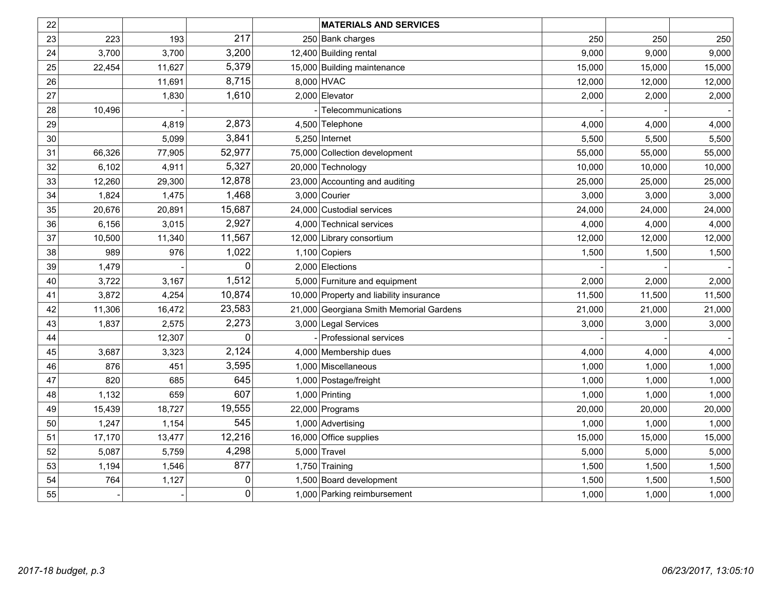| 22 |        |        |             | <b>MATERIALS AND SERVICES</b>           |        |        |        |
|----|--------|--------|-------------|-----------------------------------------|--------|--------|--------|
| 23 | 223    | 193    | 217         | 250 Bank charges                        | 250    | 250    | 250    |
| 24 | 3,700  | 3,700  | 3,200       | 12,400 Building rental                  | 9,000  | 9,000  | 9,000  |
| 25 | 22,454 | 11,627 | 5,379       | 15,000 Building maintenance             | 15,000 | 15,000 | 15,000 |
| 26 |        | 11,691 | 8,715       | 8,000 HVAC                              | 12,000 | 12,000 | 12,000 |
| 27 |        | 1,830  | 1,610       | 2,000 Elevator                          | 2,000  | 2,000  | 2,000  |
| 28 | 10,496 |        |             | Telecommunications                      |        |        |        |
| 29 |        | 4,819  | 2,873       | 4,500 Telephone                         | 4,000  | 4,000  | 4,000  |
| 30 |        | 5,099  | 3,841       | $5,250$ Internet                        | 5,500  | 5,500  | 5,500  |
| 31 | 66,326 | 77,905 | 52,977      | 75,000 Collection development           | 55,000 | 55,000 | 55,000 |
| 32 | 6,102  | 4,911  | 5,327       | 20,000 Technology                       | 10,000 | 10,000 | 10,000 |
| 33 | 12,260 | 29,300 | 12,878      | 23,000 Accounting and auditing          | 25,000 | 25,000 | 25,000 |
| 34 | 1,824  | 1,475  | 1,468       | 3,000 Courier                           | 3,000  | 3,000  | 3,000  |
| 35 | 20,676 | 20,891 | 15,687      | 24,000 Custodial services               | 24,000 | 24,000 | 24,000 |
| 36 | 6,156  | 3,015  | 2,927       | 4,000 Technical services                | 4,000  | 4,000  | 4,000  |
| 37 | 10,500 | 11,340 | 11,567      | 12,000 Library consortium               | 12,000 | 12,000 | 12,000 |
| 38 | 989    | 976    | 1,022       | 1,100 Copiers                           | 1,500  | 1,500  | 1,500  |
| 39 | 1,479  |        | $\mathbf 0$ | 2,000 Elections                         |        |        |        |
| 40 | 3,722  | 3,167  | 1,512       | 5,000 Furniture and equipment           | 2,000  | 2,000  | 2,000  |
| 41 | 3,872  | 4,254  | 10,874      | 10,000 Property and liability insurance | 11,500 | 11,500 | 11,500 |
| 42 | 11,306 | 16,472 | 23,583      | 21,000 Georgiana Smith Memorial Gardens | 21,000 | 21,000 | 21,000 |
| 43 | 1,837  | 2,575  | 2,273       | 3,000 Legal Services                    | 3,000  | 3,000  | 3,000  |
| 44 |        | 12,307 | 0           | Professional services                   |        |        |        |
| 45 | 3,687  | 3,323  | 2,124       | 4,000 Membership dues                   | 4,000  | 4,000  | 4,000  |
| 46 | 876    | 451    | 3,595       | 1,000 Miscellaneous                     | 1,000  | 1,000  | 1,000  |
| 47 | 820    | 685    | 645         | 1,000 Postage/freight                   | 1,000  | 1,000  | 1,000  |
| 48 | 1,132  | 659    | 607         | 1,000 Printing                          | 1,000  | 1,000  | 1,000  |
| 49 | 15,439 | 18,727 | 19,555      | 22,000 Programs                         | 20,000 | 20,000 | 20,000 |
| 50 | 1,247  | 1,154  | 545         | 1,000 Advertising                       | 1,000  | 1,000  | 1,000  |
| 51 | 17,170 | 13,477 | 12,216      | 16,000 Office supplies                  | 15,000 | 15,000 | 15,000 |
| 52 | 5,087  | 5,759  | 4,298       | $5,000$ Travel                          | 5,000  | 5,000  | 5,000  |
| 53 | 1,194  | 1,546  | 877         | 1,750 Training                          | 1,500  | 1,500  | 1,500  |
| 54 | 764    | 1,127  | 0           | 1,500 Board development                 | 1,500  | 1,500  | 1,500  |
| 55 |        |        | 0           | 1,000 Parking reimbursement             | 1,000  | 1,000  | 1,000  |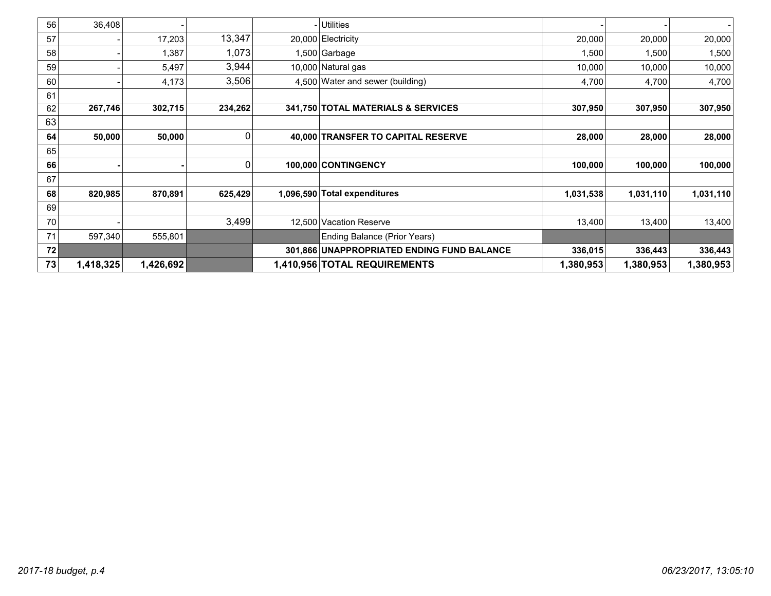| 56 | 36,408    |           |         | - Utilities                                |           |           |           |
|----|-----------|-----------|---------|--------------------------------------------|-----------|-----------|-----------|
| 57 |           | 17,203    | 13,347  | 20,000 Electricity                         | 20,000    | 20,000    | 20,000    |
| 58 |           | 1,387     | 1,073   | l,500 Garbage                              | 1,500     | 1,500     | 1,500     |
| 59 |           | 5,497     | 3,944   | 10,000 Natural gas                         | 10,000    | 10,000    | 10,000    |
| 60 |           | 4,173     | 3,506   | 4,500 Water and sewer (building)           | 4,700     | 4,700     | 4,700     |
| 61 |           |           |         |                                            |           |           |           |
| 62 | 267,746   | 302,715   | 234,262 | 341,750 TOTAL MATERIALS & SERVICES         | 307,950   | 307,950   | 307,950   |
| 63 |           |           |         |                                            |           |           |           |
| 64 | 50,000    | 50,000    | 0       | 40,000 TRANSFER TO CAPITAL RESERVE         | 28,000    | 28,000    | 28,000    |
| 65 |           |           |         |                                            |           |           |           |
| 66 |           |           | 0       | 100,000 CONTINGENCY                        | 100,000   | 100,000   | 100,000   |
| 67 |           |           |         |                                            |           |           |           |
| 68 | 820,985   | 870,891   | 625,429 | 1,096,590 Total expenditures               | 1,031,538 | 1,031,110 | 1,031,110 |
| 69 |           |           |         |                                            |           |           |           |
| 70 |           |           | 3,499   | 12,500 Vacation Reserve                    | 13,400    | 13,400    | 13,400    |
| 71 | 597,340   | 555,801   |         | Ending Balance (Prior Years)               |           |           |           |
| 72 |           |           |         | 301,866 UNAPPROPRIATED ENDING FUND BALANCE | 336,015   | 336,443   | 336,443   |
| 73 | 1,418,325 | 1,426,692 |         | 1,410,956 TOTAL REQUIREMENTS               | 1,380,953 | 1,380,953 | 1,380,953 |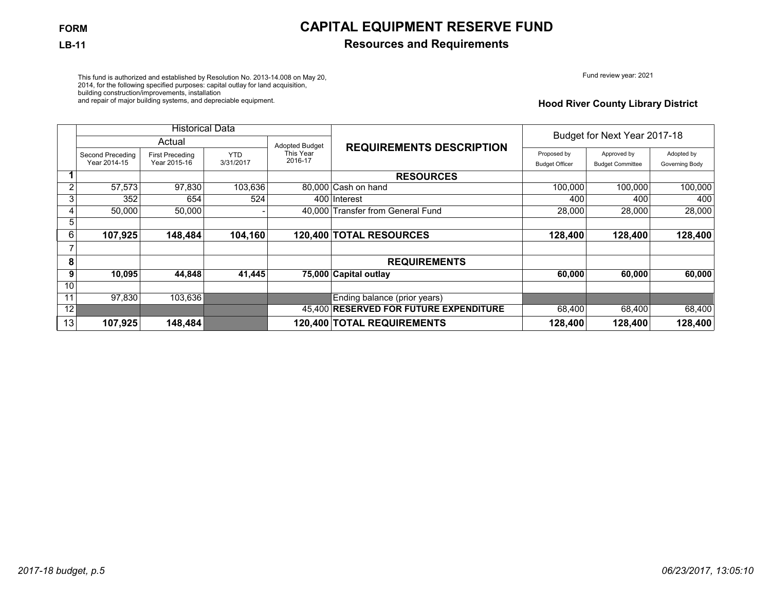# **FORM CAPITAL EQUIPMENT RESERVE FUND**

## **LB-11 Resources and Requirements**

Fund review year: 2021

This fund is authorized and established by Resolution No. 2013-14.008 on May 20, 2014, for the following specified purposes: capital outlay for land acquisition, building construction/improvements, installation and repair of major building systems, and depreciable equipment.

### **Hood River County Library District**

|                |                  | <b>Historical Data</b> |            |                       |                                        |                       |                              |                |
|----------------|------------------|------------------------|------------|-----------------------|----------------------------------------|-----------------------|------------------------------|----------------|
|                |                  | Actual                 |            | <b>Adopted Budget</b> | <b>REQUIREMENTS DESCRIPTION</b>        |                       | Budget for Next Year 2017-18 |                |
|                | Second Preceding | <b>First Preceding</b> | <b>YTD</b> | This Year             |                                        | Proposed by           | Approved by                  | Adopted by     |
|                | Year 2014-15     | Year 2015-16           | 3/31/2017  | 2016-17               |                                        | <b>Budget Officer</b> | <b>Budget Committee</b>      | Governing Body |
|                |                  |                        |            |                       | <b>RESOURCES</b>                       |                       |                              |                |
| $\overline{2}$ | 57.573           | 97,830                 | 103,636    |                       | 80.000 Cash on hand                    | 100.000               | 100.000                      | 100,000        |
| 3              | 352              | 654                    | 524        |                       | 400 Interest                           | 400                   | 400                          | 400            |
| 4              | 50,000           | 50,000                 |            |                       | 40.000 Transfer from General Fund      | 28,000                | 28,000                       | 28,000         |
| 5              |                  |                        |            |                       |                                        |                       |                              |                |
| 61             | 107,925          | 148,484                | 104,160    |                       | 120,400 TOTAL RESOURCES                | 128,400               | 128,400                      | 128,400        |
|                |                  |                        |            |                       |                                        |                       |                              |                |
| 8              |                  |                        |            |                       | <b>REQUIREMENTS</b>                    |                       |                              |                |
| 9              | 10,095           | 44,848                 | 41,445     |                       | 75,000 Capital outlay                  | 60,000                | 60,000                       | 60,000         |
| 10             |                  |                        |            |                       |                                        |                       |                              |                |
| 11             | 97,830           | 103,636                |            |                       | Ending balance (prior years)           |                       |                              |                |
| 12             |                  |                        |            |                       | 45,400 RESERVED FOR FUTURE EXPENDITURE | 68,400                | 68,400                       | 68,400         |
| 13             | 107,925          | 148,484                |            |                       | 120,400 TOTAL REQUIREMENTS             | 128,400               | 128,400                      | 128,400        |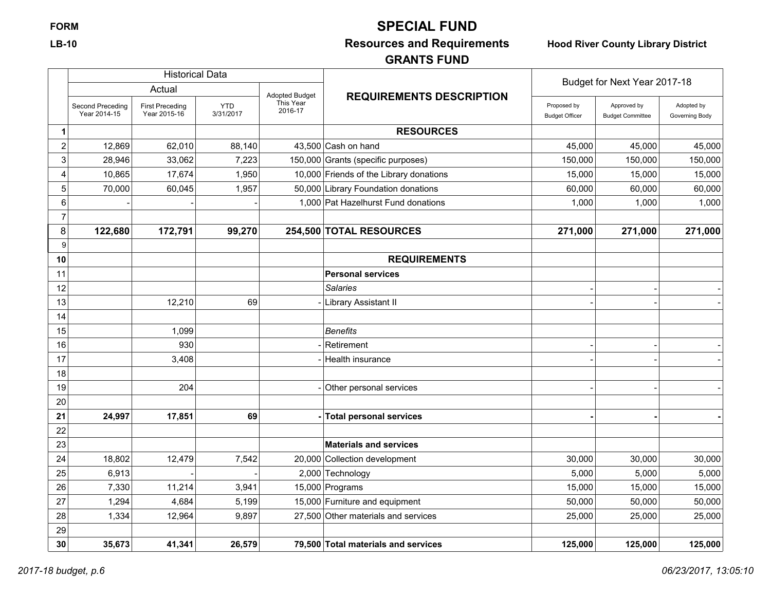# **FORM SPECIAL FUND**

# **LB-10 Resources and Requirements Hood River County Library District**

# **GRANTS FUND**

|                  |                                  | <b>Historical Data</b>                 |                         |                       |                                         | Budget for Next Year 2017-18         |                                        |                              |
|------------------|----------------------------------|----------------------------------------|-------------------------|-----------------------|-----------------------------------------|--------------------------------------|----------------------------------------|------------------------------|
|                  |                                  | Actual                                 |                         | <b>Adopted Budget</b> | <b>REQUIREMENTS DESCRIPTION</b>         |                                      |                                        |                              |
|                  | Second Preceding<br>Year 2014-15 | <b>First Preceding</b><br>Year 2015-16 | <b>YTD</b><br>3/31/2017 | This Year<br>2016-17  |                                         | Proposed by<br><b>Budget Officer</b> | Approved by<br><b>Budget Committee</b> | Adopted by<br>Governing Body |
| 1                |                                  |                                        |                         |                       | <b>RESOURCES</b>                        |                                      |                                        |                              |
| $\boldsymbol{2}$ | 12,869                           | 62,010                                 | 88,140                  |                       | 43,500 Cash on hand                     | 45,000                               | 45,000                                 | 45,000                       |
| $\mathsf 3$      | 28,946                           | 33,062                                 | 7,223                   |                       | 150,000 Grants (specific purposes)      | 150,000                              | 150,000                                | 150,000                      |
| 4                | 10,865                           | 17,674                                 | 1,950                   |                       | 10,000 Friends of the Library donations | 15,000                               | 15,000                                 | 15,000                       |
| 5                | 70,000                           | 60,045                                 | 1,957                   |                       | 50,000 Library Foundation donations     | 60,000                               | 60,000                                 | 60,000                       |
| 6                |                                  |                                        |                         |                       | 1,000 Pat Hazelhurst Fund donations     | 1,000                                | 1,000                                  | 1,000                        |
| $\overline{7}$   |                                  |                                        |                         |                       |                                         |                                      |                                        |                              |
| 8                | 122,680                          | 172,791                                | 99,270                  |                       | 254,500 TOTAL RESOURCES                 | 271,000                              | 271,000                                | 271,000                      |
| 9                |                                  |                                        |                         |                       |                                         |                                      |                                        |                              |
| 10               |                                  |                                        |                         |                       | <b>REQUIREMENTS</b>                     |                                      |                                        |                              |
| 11               |                                  |                                        |                         |                       | <b>Personal services</b>                |                                      |                                        |                              |
| 12               |                                  |                                        |                         |                       | <b>Salaries</b>                         |                                      |                                        |                              |
| 13               |                                  | 12,210                                 | 69                      |                       | Library Assistant II                    |                                      |                                        |                              |
| 14               |                                  |                                        |                         |                       |                                         |                                      |                                        |                              |
| 15               |                                  | 1,099                                  |                         |                       | <b>Benefits</b>                         |                                      |                                        |                              |
| 16               |                                  | 930                                    |                         |                       | Retirement                              |                                      |                                        |                              |
| 17               |                                  | 3,408                                  |                         |                       | Health insurance                        |                                      |                                        |                              |
| 18               |                                  |                                        |                         |                       |                                         |                                      |                                        |                              |
| 19               |                                  | 204                                    |                         |                       | Other personal services                 |                                      |                                        |                              |
| 20               |                                  |                                        |                         |                       |                                         |                                      |                                        |                              |
| 21               | 24,997                           | 17,851                                 | 69                      |                       | <b>Total personal services</b>          |                                      |                                        |                              |
| 22               |                                  |                                        |                         |                       |                                         |                                      |                                        |                              |
| 23               |                                  |                                        |                         |                       | <b>Materials and services</b>           |                                      |                                        |                              |
| 24               | 18,802                           | 12,479                                 | 7,542                   |                       | 20,000 Collection development           | 30,000                               | 30,000                                 | 30,000                       |
| 25               | 6,913                            |                                        |                         |                       | 2,000 Technology                        | 5,000                                | 5,000                                  | 5,000                        |
| 26               | 7,330                            | 11,214                                 | 3,941                   |                       | 15,000 Programs                         | 15,000                               | 15,000                                 | 15,000                       |
| 27               | 1,294                            | 4,684                                  | 5,199                   |                       | 15,000 Furniture and equipment          | 50,000                               | 50,000                                 | 50,000                       |
| 28               | 1,334                            | 12,964                                 | 9,897                   |                       | 27,500 Other materials and services     | 25,000                               | 25,000                                 | 25,000                       |
| 29               |                                  |                                        |                         |                       |                                         |                                      |                                        |                              |
| 30               | 35.673                           | 41,341                                 | 26.579                  |                       | 79.500 Total materials and services     | 125.000                              | 125.000                                | 125,000                      |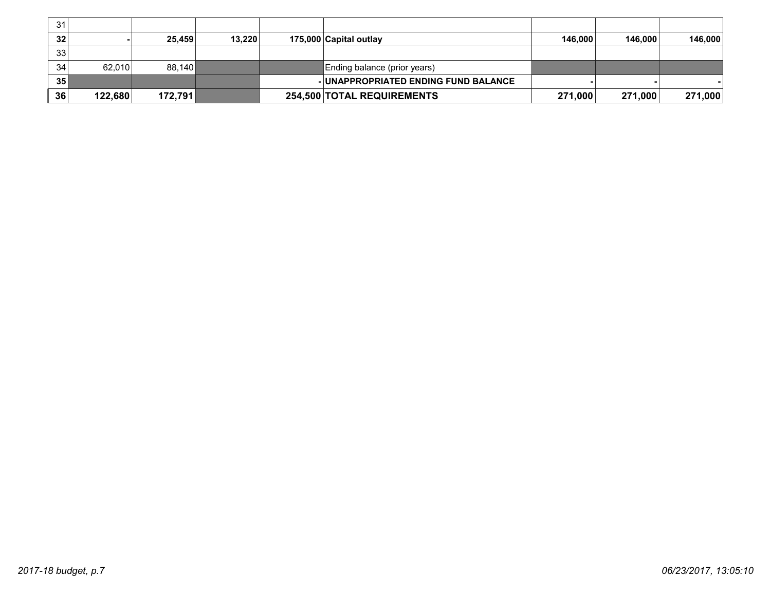| 31 |         |         |        |                                      |         |         |         |
|----|---------|---------|--------|--------------------------------------|---------|---------|---------|
| 32 |         | 25.459  | 13.220 | 175,000 Capital outlay               | 146.000 | 146.000 | 146,000 |
| 33 |         |         |        |                                      |         |         |         |
| 34 | 62.010  | 88.140  |        | Ending balance (prior years)         |         |         |         |
| 35 |         |         |        | - UNAPPROPRIATED ENDING FUND BALANCE |         |         |         |
| 36 | 122,680 | 172,791 |        | 254,500 TOTAL REQUIREMENTS           | 271,000 | 271,000 | 271,000 |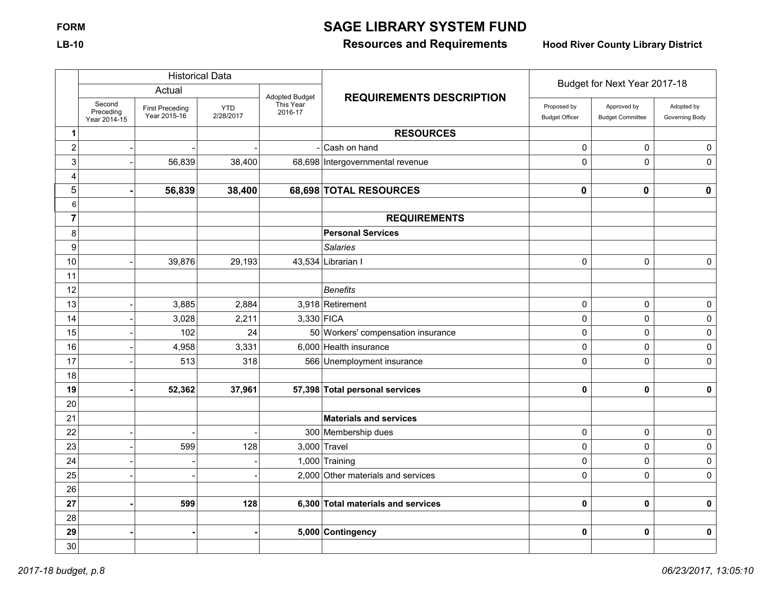# **FORM SAGE LIBRARY SYSTEM FUND**

# **LB-10 Resources and Requirements Hood River County Library District**

|                  |                                     |                                        | <b>Historical Data</b>  |                      |                                    | Budget for Next Year 2017-18         |                                        |                              |
|------------------|-------------------------------------|----------------------------------------|-------------------------|----------------------|------------------------------------|--------------------------------------|----------------------------------------|------------------------------|
|                  |                                     | Actual                                 |                         | Adopted Budget       | <b>REQUIREMENTS DESCRIPTION</b>    |                                      |                                        |                              |
|                  | Second<br>Preceding<br>Year 2014-15 | <b>First Preceding</b><br>Year 2015-16 | <b>YTD</b><br>2/28/2017 | This Year<br>2016-17 |                                    | Proposed by<br><b>Budget Officer</b> | Approved by<br><b>Budget Committee</b> | Adopted by<br>Governing Body |
| 1                |                                     |                                        |                         |                      | <b>RESOURCES</b>                   |                                      |                                        |                              |
| $\boldsymbol{2}$ |                                     |                                        |                         |                      | Cash on hand                       | 0                                    | 0                                      | $\pmb{0}$                    |
| $\sqrt{3}$       |                                     | 56,839                                 | 38,400                  |                      | 68,698 Intergovernmental revenue   | $\mathbf 0$                          | $\mathbf 0$                            | $\mathbf 0$                  |
| 4                |                                     |                                        |                         |                      |                                    |                                      |                                        |                              |
| 5                |                                     | 56,839                                 | 38,400                  |                      | 68,698 TOTAL RESOURCES             | $\mathbf 0$                          | $\mathbf 0$                            | $\mathbf 0$                  |
| 6                |                                     |                                        |                         |                      |                                    |                                      |                                        |                              |
| $\overline{7}$   |                                     |                                        |                         |                      | <b>REQUIREMENTS</b>                |                                      |                                        |                              |
| 8                |                                     |                                        |                         |                      | <b>Personal Services</b>           |                                      |                                        |                              |
| 9                |                                     |                                        |                         |                      | <b>Salaries</b>                    |                                      |                                        |                              |
| 10               |                                     | 39,876                                 | 29,193                  |                      | 43,534 Librarian I                 | $\mathbf 0$                          | $\mathbf 0$                            | 0                            |
| 11               |                                     |                                        |                         |                      |                                    |                                      |                                        |                              |
| 12               |                                     |                                        |                         |                      | <b>Benefits</b>                    |                                      |                                        |                              |
| 13               |                                     | 3,885                                  | 2,884                   |                      | 3,918 Retirement                   | $\mathbf 0$                          | $\mathbf 0$                            | 0                            |
| 14               |                                     | 3,028                                  | 2,211                   | $3,330$ FICA         |                                    | 0                                    | $\mathbf 0$                            | $\pmb{0}$                    |
| 15               |                                     | 102                                    | 24                      |                      | 50 Workers' compensation insurance | $\mathbf 0$                          | $\mathbf 0$                            | 0                            |
| 16               |                                     | 4,958                                  | 3,331                   |                      | 6,000 Health insurance             | $\mathbf 0$                          | $\pmb{0}$                              | $\mathbf 0$                  |
| 17               |                                     | 513                                    | 318                     |                      | 566 Unemployment insurance         | $\mathbf 0$                          | $\mathbf 0$                            | $\mathbf 0$                  |
| 18               |                                     |                                        |                         |                      |                                    |                                      |                                        |                              |
| 19               |                                     | 52,362                                 | 37,961                  |                      | 57,398 Total personal services     | 0                                    | $\pmb{0}$                              | $\pmb{0}$                    |
| 20               |                                     |                                        |                         |                      |                                    |                                      |                                        |                              |
| 21               |                                     |                                        |                         |                      | <b>Materials and services</b>      |                                      |                                        |                              |
| 22               |                                     |                                        |                         |                      | 300 Membership dues                | $\pmb{0}$                            | $\pmb{0}$                              | $\pmb{0}$                    |
| 23               |                                     | 599                                    | 128                     |                      | $3,000$ Travel                     | $\mathbf 0$                          | $\mathbf 0$                            | 0                            |
| 24               |                                     |                                        |                         |                      | 1,000 Training                     | 0                                    | 0                                      | 0                            |
| 25               |                                     |                                        |                         |                      | 2,000 Other materials and services | $\mathbf 0$                          | $\mathbf 0$                            | 0                            |
| 26               |                                     |                                        |                         |                      |                                    |                                      |                                        |                              |
| 27               |                                     | 599                                    | 128                     |                      | 6,300 Total materials and services | $\bf{0}$                             | $\mathbf 0$                            | $\pmb{0}$                    |
| 28               |                                     |                                        |                         |                      |                                    |                                      |                                        |                              |
| 29               |                                     |                                        |                         |                      | 5,000 Contingency                  | 0                                    | $\pmb{0}$                              | $\pmb{0}$                    |
| 30               |                                     |                                        |                         |                      |                                    |                                      |                                        |                              |